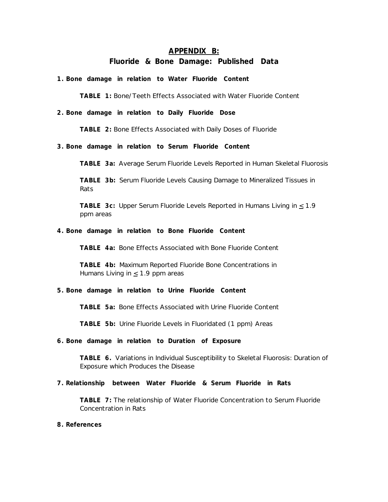### **APPENDIX B:**

## **Fluoride & Bone Damage: Published Data**

**1. Bone damage in relation to Water Fluoride Content**

**TABLE 1:** Bone/Teeth Effects Associated with Water Fluoride Content

## **2. Bone damage in relation to Daily Fluoride Dose**

**TABLE 2:** Bone Effects Associated with Daily Doses of Fluoride

**3. Bone damage in relation to Serum Fluoride Content**

**TABLE 3a:** Average Serum Fluoride Levels Reported in Human Skeletal Fluorosis

**TABLE 3b:** Serum Fluoride Levels Causing Damage to Mineralized Tissues in Rats

TABLE 3c: Upper Serum Fluoride Levels Reported in Humans Living in  $\leq 1.9$ ppm areas

### **4. Bone damage in relation to Bone Fluoride Content**

**TABLE 4a:** Bone Effects Associated with Bone Fluoride Content

**TABLE 4b:** Maximum Reported Fluoride Bone Concentrations in Humans Living in  $\leq$  1.9 ppm areas

# **5. Bone damage in relation to Urine Fluoride Content**

**TABLE 5a:** Bone Effects Associated with Urine Fluoride Content

**TABLE 5b:** Urine Fluoride Levels in Fluoridated (1 ppm) Areas

#### **6. Bone damage in relation to Duration of Exposure**

**TABLE 6.** Variations in Individual Susceptibility to Skeletal Fluorosis: Duration of Exposure which Produces the Disease

# **7. Relationship between Water Fluoride & Serum Fluoride in Rats**

**TABLE 7:** The relationship of Water Fluoride Concentration to Serum Fluoride Concentration in Rats

### **8. References**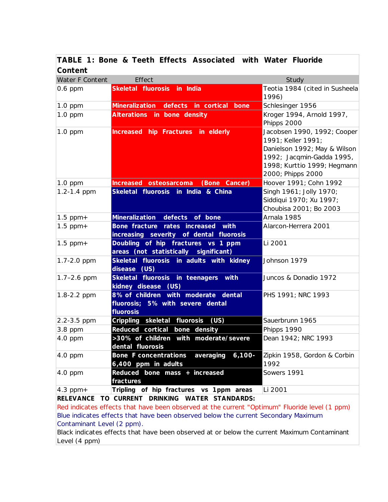|         |  |  | TABLE 1: Bone & Teeth Effects Associated with Water Fluoride |  |  |
|---------|--|--|--------------------------------------------------------------|--|--|
| Content |  |  |                                                              |  |  |

| Water F Content | Effect                                                                               | Study                                                                                                                                         |
|-----------------|--------------------------------------------------------------------------------------|-----------------------------------------------------------------------------------------------------------------------------------------------|
| 0.6 ppm         | Skeletal fluorosis in India                                                          | Teotia 1984 (cited in Susheela                                                                                                                |
|                 |                                                                                      | 1996)                                                                                                                                         |
| $1.0$ ppm       | <b>Mineralization</b><br>defects in cortical bone                                    | Schlesinger 1956                                                                                                                              |
| $1.0$ ppm       | Alterations in bone density                                                          | Kroger 1994, Arnold 1997,<br>Phipps 2000                                                                                                      |
| $1.0$ ppm       | Increased hip Fractures in elderly                                                   | Jacobsen 1990, 1992; Cooper<br>1991; Keller 1991;<br>Danielson 1992; May & Wilson<br>1992; Jacqmin-Gadda 1995,<br>1998; Kurttio 1999; Hegmann |
|                 |                                                                                      | 2000; Phipps 2000                                                                                                                             |
| 1.0 ppm         | (Bone Cancer)<br>Increased osteosarcoma                                              | Hoover 1991; Cohn 1992                                                                                                                        |
| 1.2-1.4 ppm     | Skeletal fluorosis in India & China                                                  | Singh 1961; Jolly 1970;<br>Siddiqui 1970; Xu 1997;<br>Choubisa 2001; Bo 2003                                                                  |
| $1.5$ ppm+      | Mineralization defects of bone                                                       | Arnala 1985                                                                                                                                   |
| $1.5$ ppm+      | Bone fracture rates increased with<br>increasing severity of dental fluorosis        | Alarcon-Herrera 2001                                                                                                                          |
| $1.5$ ppm+      | Doubling of hip fractures vs 1 ppm<br>areas (not statistically significant)          | Li 2001                                                                                                                                       |
| 1.7-2.0 ppm     | Skeletal fluorosis in adults with kidney<br>disease (US)                             | Johnson 1979                                                                                                                                  |
| $1.7 - 2.6$ ppm | Skeletal fluorosis in teenagers<br>with<br>kidney disease (US)                       | Juncos & Donadio 1972                                                                                                                         |
| 1.8-2.2 ppm     | 8% of children with moderate dental<br>fluorosis; 5% with severe dental<br>fluorosis | PHS 1991; NRC 1993                                                                                                                            |
| 2.2-3.5 ppm     | Crippling skeletal fluorosis<br>(US)                                                 | Sauerbrunn 1965                                                                                                                               |
| 3.8 ppm         | Reduced cortical bone density                                                        | Phipps 1990                                                                                                                                   |
| 4.0 ppm         | >30% of children with moderate/severe<br>dental fluorosis                            | Dean 1942; NRC 1993                                                                                                                           |
| 4.0 ppm         | Bone F concentrations averaging<br>$6,100-$<br>6,400 ppm in adults                   | Zipkin 1958, Gordon & Corbin<br>1992                                                                                                          |
| 4.0 ppm         | Reduced bone mass + increased<br>fractures                                           | Sowers 1991                                                                                                                                   |
| $4.3$ ppm+      | Tripling of hip fractures vs 1ppm areas                                              | Li 2001                                                                                                                                       |

**RELEVANCE TO CURRENT DRINKING WATER STANDARDS:**

Red indicates effects that have been observed at the current "Optimum" Fluoride level (1 ppm) Blue indicates effects that have been observed below the current Secondary Maximum Contaminant Level (2 ppm).

Black indicates effects that have been observed at or below the current Maximum Contaminant Level (4 ppm)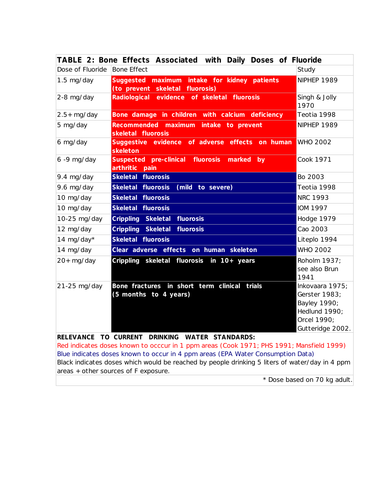|                                                                                 | TABLE 2: Bone Effects Associated with Daily Doses of Fluoride                            |                                                                                                      |  |  |
|---------------------------------------------------------------------------------|------------------------------------------------------------------------------------------|------------------------------------------------------------------------------------------------------|--|--|
| Dose of Fluoride                                                                | <b>Bone Effect</b>                                                                       | Study                                                                                                |  |  |
| $1.5$ mg/day                                                                    | Suggested maximum intake for kidney patients<br>(to prevent skeletal fluorosis)          | NIPHEP 1989                                                                                          |  |  |
| 2-8 mg/day                                                                      | Radiological evidence of skeletal fluorosis                                              | Singh & Jolly<br>1970                                                                                |  |  |
| $2.5+$ mg/day                                                                   | Bone damage in children with calcium deficiency                                          | Teotia 1998                                                                                          |  |  |
| 5 mg/day                                                                        | Recommended maximum intake to prevent<br>skeletal fluorosis                              | NIPHEP 1989                                                                                          |  |  |
| 6 mg/day                                                                        | Suggestive evidence of adverse effects on human WHO 2002<br>skeleton                     |                                                                                                      |  |  |
| $6 - 9$ mg/day                                                                  | Suspected pre-clinical fluorosis marked<br>by<br>arthritic pain                          | Cook 1971                                                                                            |  |  |
| 9.4 mg/day                                                                      | Skeletal fluorosis                                                                       | Bo 2003                                                                                              |  |  |
| 9.6 mg/day                                                                      | (mild to severe)<br>Skeletal fluorosis                                                   | Teotia 1998                                                                                          |  |  |
| 10 mg/day                                                                       | Skeletal fluorosis                                                                       | <b>NRC 1993</b>                                                                                      |  |  |
| 10 mg/day                                                                       | Skeletal fluorosis                                                                       | <b>IOM 1997</b>                                                                                      |  |  |
| 10-25 mg/day                                                                    | Crippling Skeletal fluorosis                                                             | Hodge 1979                                                                                           |  |  |
| 12 mg/day                                                                       | Crippling Skeletal<br>fluorosis                                                          | Cao 2003                                                                                             |  |  |
| 14 mg/day*                                                                      | Skeletal fluorosis                                                                       | Liteplo 1994                                                                                         |  |  |
| 14 mg/day                                                                       | Clear adverse effects on human skeleton                                                  | <b>WHO 2002</b>                                                                                      |  |  |
| $20+$ mg/day                                                                    | Crippling skeletal fluorosis in 10+ years                                                | Roholm 1937;<br>see also Brun<br>1941                                                                |  |  |
| 21-25 mg/day                                                                    | Bone fractures in short term clinical<br>trials<br>(5 months to 4 years)                 | Inkovaara 1975;<br>Gerster 1983;<br>Bayley 1990;<br>Hedlund 1990;<br>Orcel 1990;<br>Gutteridge 2002. |  |  |
|                                                                                 | RELEVANCE TO CURRENT DRINKING WATER STANDARDS:                                           |                                                                                                      |  |  |
|                                                                                 | Red indicates doses known to occcur in 1 ppm areas (Cook 1971; PHS 1991; Mansfield 1999) |                                                                                                      |  |  |
| Blue indicates doses known to occur in 4 ppm areas (EPA Water Consumption Data) |                                                                                          |                                                                                                      |  |  |

Black indicates doses which would be reached by people drinking 5 liters of water/day in 4 ppm areas + other sources of F exposure.

\* Dose based on 70 kg adult.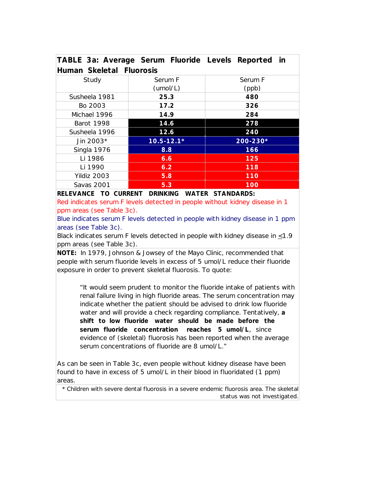|                          |                | TABLE 3a: Average Serum Fluoride Levels Reported in |
|--------------------------|----------------|-----------------------------------------------------|
| Human Skeletal Fluorosis |                |                                                     |
| Study                    | Serum F        | Serum F                                             |
|                          | (umol/L)       | (ppb)                                               |
| Susheela 1981            | 25.3           | 480                                                 |
| Bo 2003                  | 17.2           | 326                                                 |
| Michael 1996             | 14.9           | 284                                                 |
| <b>Barot 1998</b>        | 14.6           | 278                                                 |
| Susheela 1996            | 12.6           | 240                                                 |
| Jin 2003*                | $10.5 - 12.1*$ | 200-230*                                            |
| Singla 1976              | 8.8            | 166                                                 |
| Li 1986                  | 6.6            | 125                                                 |
| Li 1990                  | 6.2            | 118                                                 |
| Yildiz 2003              | 5.8            | 110                                                 |
| Savas 2001               | 5.3            | 100                                                 |

**RELEVANCE TO CURRENT DRINKING WATER STANDARDS:**

Red indicates serum F levels detected in people without kidney disease in 1 ppm areas (see Table 3c).

Blue indicates serum F levels detected in people with kidney disease in 1 ppm areas (see Table 3c).

Black indicates serum F levels detected in people with kidney disease in  $\leq 1.9$ ppm areas (see Table 3c).

**NOTE:** In 1979, Johnson & Jowsey of the Mayo Clinic, recommended that people with serum fluoride levels in excess of 5 umol/L reduce their fluoride exposure in order to prevent skeletal fluorosis. To quote:

"It would seem prudent to monitor the fluoride intake of patients with renal failure living in high fluoride areas. The serum concentration may indicate whether the patient should be advised to drink low fluoride water and will provide a check regarding compliance. Tentatively, **a shift to low fluoride water should be made before the serum fluoride concentration reaches 5 umol/L**, since evidence of (skeletal) fluorosis has been reported when the average serum concentrations of fluoride are 8 umol/L."

As can be seen in Table 3c, even people without kidney disease have been found to have in excess of 5 umol/L in their blood in fluoridated (1 ppm) areas*.*

\* Children with severe dental fluorosis in a severe endemic fluorosis area. The skeletal status was not investigated.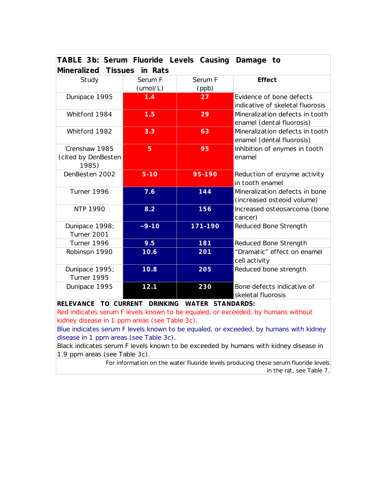| TABLE 3b: Serum Fluoride Levels Causing Damage to |          |         |                                  |  |  |  |
|---------------------------------------------------|----------|---------|----------------------------------|--|--|--|
| Mineralized Tissues in Rats                       |          |         |                                  |  |  |  |
| Study                                             | Serum F  | Serum F | Effect                           |  |  |  |
|                                                   | (umol/L) | (ppb)   |                                  |  |  |  |
| Dunipace 1995                                     | 1.4      | 27      | Evidence of bone defects         |  |  |  |
|                                                   |          |         | indicative of skeletal fluorosis |  |  |  |
| Whitford 1984                                     | 1.5      | 29      | Mineralization defects in tooth  |  |  |  |
|                                                   |          |         | enamel (dental fluorosis)        |  |  |  |
| Whitford 1982                                     | 3.3      | 63      | Mineralization defects in tooth  |  |  |  |
|                                                   |          |         | enamel (dental fluorosis)        |  |  |  |
| Crenshaw 1985                                     | 5        | 95      | Inhibition of enymes in tooth    |  |  |  |
| (cited by DenBesten                               |          |         | enamel                           |  |  |  |
| 1985)                                             |          |         |                                  |  |  |  |
| DenBesten 2002                                    | $5 - 10$ | 95-190  | Reduction of enzyme activity     |  |  |  |
|                                                   |          |         | in tooth enamel                  |  |  |  |
| Turner 1996                                       | 7.6      | 144     | Mineralization defects in bone   |  |  |  |
|                                                   |          |         | (increased osteoid volume)       |  |  |  |
| NTP 1990                                          | 8.2      | 156     | Increased osteosarcoma (bone     |  |  |  |
|                                                   |          |         | cancer)                          |  |  |  |
| Dunipace 1998;                                    | $-9-10$  | 171-190 | Reduced Bone Strength            |  |  |  |
| Turner 2001                                       |          |         |                                  |  |  |  |
| Turner 1996                                       | 9.5      | 181     | Reduced Bone Strength            |  |  |  |
| Robinson 1990                                     | 10.6     | 201     | "Dramatic" effect on enamel      |  |  |  |
|                                                   |          |         | cell activity                    |  |  |  |
| Dunipace 1995;                                    | 10.8     | 205     | Reduced bone strength            |  |  |  |
| Turner 1995                                       |          |         |                                  |  |  |  |
| Dunipace 1995                                     | 12.1     | 230     | Bone defects indicative of       |  |  |  |
|                                                   |          |         | skeletal fluorosis               |  |  |  |

**RELEVANCE TO CURRENT DRINKING WATER STANDARDS:**

Red indicates serum F levels known to be equaled, or exceeded, by humans without kidney disease in 1 ppm areas (see Table 3c).

Blue indicates serum F levels known to be equaled, or exceeded, by humans with kidney disease in 1 ppm areas (see Table 3c).

Black indicates serum F levels known to be exceeded by humans with kidney disease in 1.9 ppm areas (see Table 3c).

> For information on the water fluoride levels producing these serum fluoride levels in the rat, see Table 7.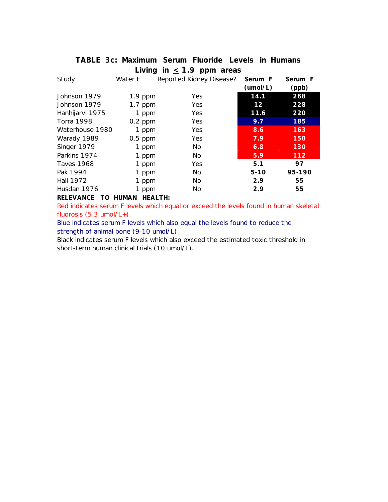|                   |                            | TABLE 3c: Maximum Serum Fluoride Levels in Humans |          |         |
|-------------------|----------------------------|---------------------------------------------------|----------|---------|
|                   |                            | Living in $\leq$ 1.9 ppm areas                    |          |         |
| Study             | Water F                    | Reported Kidney Disease?                          | Serum F  | Serum F |
|                   |                            |                                                   | (umol/L) | (ppb)   |
| Johnson 1979      | $1.9$ ppm                  | Yes.                                              | 14.1     | 268     |
| Johnson 1979      | $1.7$ ppm                  | Yes.                                              | 12       | 228     |
| Hanhijarvi 1975   | 1 ppm                      | Yes                                               | 11.6     | 220     |
| <b>Torra 1998</b> | $0.2$ ppm                  | Yes                                               | 9.7      | 185     |
| Waterhouse 1980   | 1 ppm                      | <b>Yes</b>                                        | 8.6      | 163     |
| Warady 1989       | $0.5$ ppm                  | Yes                                               | 7.9      | 150     |
| Singer 1979       | 1 ppm                      | No.                                               | 6.8      | 130     |
| Parkins 1974      | 1 ppm                      | No.                                               | 5.9      | 112     |
| <b>Taves 1968</b> | 1 ppm                      | Yes                                               | 5.1      | 97      |
| Pak 1994          | 1 ppm                      | No.                                               | $5-10$   | 95-190  |
| <b>Hall 1972</b>  | 1 ppm                      | No                                                | 2.9      | 55      |
| Husdan 1976       | 1 ppm                      | No.                                               | 2.9      | 55      |
| <b>RELEVANCE</b>  | <b>HEALTH:</b><br>TO HUMAN |                                                   |          |         |

Red indicates serum F levels which equal or exceed the levels found in human skeletal fluorosis (5.3 umol/L+).

Blue indicates serum F levels which also equal the levels found to reduce the strength of animal bone (9-10 umol/L).

Black indicates serum F levels which also exceed the estimated toxic threshold in short-term human clinical trials (10 umol/L).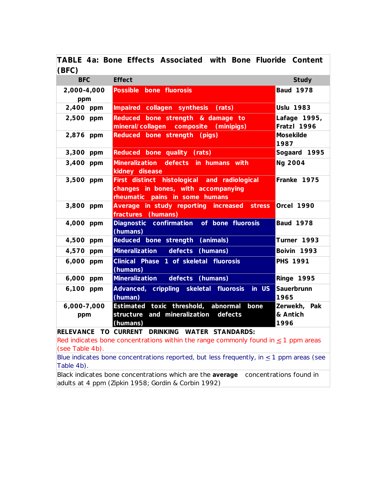**TABLE 4a: Bone Effects Associated with Bone Fluoride Content**  $(RFC)$ 

| יט וש              |                                                                                                                       |                                  |
|--------------------|-----------------------------------------------------------------------------------------------------------------------|----------------------------------|
| <b>BFC</b>         | <b>Effect</b>                                                                                                         | Study                            |
| 2,000-4,000<br>ppm | Possible bone fluorosis                                                                                               | <b>Baud 1978</b>                 |
| 2,400 ppm          | Impaired collagen synthesis (rats)                                                                                    | <b>Uslu 1983</b>                 |
| 2,500 ppm          | Reduced bone strength & damage to<br>mineral/collagen composite (minipigs)                                            | Lafage 1995,<br>Fratzl 1996      |
| 2,876 ppm          | Reduced bone strength (pigs)                                                                                          | Mosekilde<br>1987                |
| 3,300 ppm          | Reduced bone quality (rats)                                                                                           | Sogaard 1995                     |
| 3,400 ppm          | Mineralization defects in humans with<br>kidney disease                                                               | Ng 2004                          |
| 3,500 ppm          | First distinct histological and radiological<br>changes in bones, with accompanying<br>rheumatic pains in some humans | Franke 1975                      |
| 3,800 ppm          | Average in study reporting increased stress<br>fractures (humans)                                                     | Orcel 1990                       |
| 4,000 ppm          | Diagnostic confirmation of bone fluorosis<br>(humans)                                                                 | <b>Baud 1978</b>                 |
| 4,500 ppm          | Reduced bone strength (animals)                                                                                       | Turner 1993                      |
| 4,570 ppm          | Mineralization defects (humans)                                                                                       | Boivin 1993                      |
| 6,000 ppm          | Clinical Phase 1 of skeletal fluorosis<br>(humans)                                                                    | <b>PHS 1991</b>                  |
| 6,000 ppm          | Mineralization defects (humans)                                                                                       | <b>Ringe 1995</b>                |
| 6,100 ppm          | Advanced, crippling skeletal fluorosis<br>in US<br>(human)                                                            | Sauerbrunn<br>1965               |
| 6,000-7,000<br>ppm | Estimated toxic threshold, abnormal<br>bone<br>structure and mineralization defects<br>(humans)                       | Zerwekh, Pak<br>& Antich<br>1996 |
|                    | RELEVANCE TO CURRENT DRINKING WATER STANDARDS:                                                                        |                                  |
|                    | Red indicates bone concentrations within the range commonly found in $\leq$ 1 ppm areas                               |                                  |

(see Table 4b). Blue indicates bone concentrations reported, but less frequently, in  $\leq 1$  ppm areas (see Table 4b).

Black indicates bone concentrations which are the *average* concentrations found in adults at 4 ppm (Zipkin 1958; Gordin & Corbin 1992)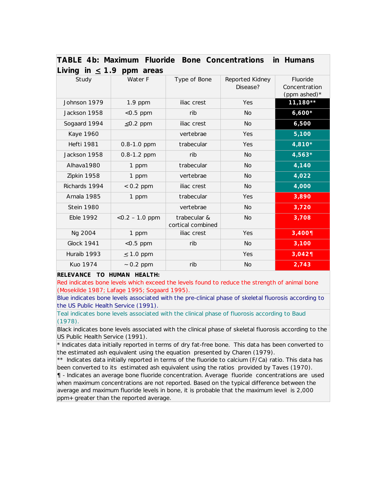| Living in $\leq$ 1.9 ppm areas |                   |                                   |                             |                                           |  |  |
|--------------------------------|-------------------|-----------------------------------|-----------------------------|-------------------------------------------|--|--|
| Study                          | Water F           | Type of Bone                      | Reported Kidney<br>Disease? | Fluoride<br>Concentration<br>(ppm ashed)* |  |  |
| Johnson 1979                   | $1.9$ ppm         | iliac crest                       | Yes                         | 11,180**                                  |  |  |
| Jackson 1958                   | $<$ 0.5 ppm       | rib                               | <b>No</b>                   | $6,600*$                                  |  |  |
| Sogaard 1994                   | $\leq$ 0.2 ppm    | iliac crest                       | No.                         | 6,500                                     |  |  |
| <b>Kaye 1960</b>               |                   | vertebrae                         | Yes                         | 5,100                                     |  |  |
| <b>Hefti 1981</b>              | 0.8-1.0 ppm       | trabecular                        | Yes                         | 4,810*                                    |  |  |
| Jackson 1958                   | 0.8-1.2 ppm       | rib                               | <b>No</b>                   | 4,563*                                    |  |  |
| Alhava1980                     | 1 ppm             | trabecular                        | <b>No</b>                   | 4,140                                     |  |  |
| Zipkin 1958                    | 1 ppm             | vertebrae                         | No.                         | 4,022                                     |  |  |
| Richards 1994                  | $< 0.2$ ppm       | iliac crest                       | No.                         | 4,000                                     |  |  |
| Arnala 1985                    | 1 ppm             | trabecular                        | Yes                         | 3,890                                     |  |  |
| <b>Stein 1980</b>              |                   | vertebrae                         | <b>No</b>                   | 3,720                                     |  |  |
| <b>Eble 1992</b>               | $<$ 0.2 - 1.0 ppm | trabecular &<br>cortical combined | <b>No</b>                   | 3,708                                     |  |  |
| Ng 2004                        | 1 ppm             | iliac crest                       | Yes                         | 3,4001                                    |  |  |
| <b>Glock 1941</b>              | $< 0.5$ ppm       | rib                               | <b>No</b>                   | 3,100                                     |  |  |
| Huraib 1993                    | $\leq$ 1.0 ppm    |                                   | Yes                         | 3,042¶                                    |  |  |
| Kuo 1974                       | $\sim$ 0.2 ppm    | rib                               | <b>No</b>                   | 2,743                                     |  |  |

|  |                                   |  | TABLE 4b: Maximum Fluoride Bone Concentrations in Humans |  |
|--|-----------------------------------|--|----------------------------------------------------------|--|
|  | $l$ iving in $\geq 1$ Q nnm arose |  |                                                          |  |

**RELEVANCE TO HUMAN HEALTH:**

Red indicates bone levels which exceed the levels found to reduce the strength of animal bone (Mosekilde 1987; Lafage 1995; Sogaard 1995).

Blue indicates bone levels associated with the pre-clinical phase of skeletal fluorosis according to the US Public Health Service (1991).

Teal indicates bone levels associated with the clinical phase of fluorosis according to Baud (1978).

Black indicates bone levels associated with the clinical phase of skeletal fluorosis according to the US Public Health Service (1991).

*\* Indicates data initially reported in terms of dry fat-free bone. This data has been converted to the estimated ash equivalent using the equation presented by Charen (1979).*

*\*\* Indicates data initially reported in terms of the fluoride to calcium (F/Ca) ratio. This data has been converted to its estimated ash equivalent using the ratios provided by Taves (1970).*

¶ - *Indicates an average bone fluoride concentration. Average fluoride concentrations are used when maximum concentrations are not reported. Based on the typical difference between the average and maximum fluoride levels in bone, it is probable that the maximum level is 2,000 ppm+ greater than the reported average.*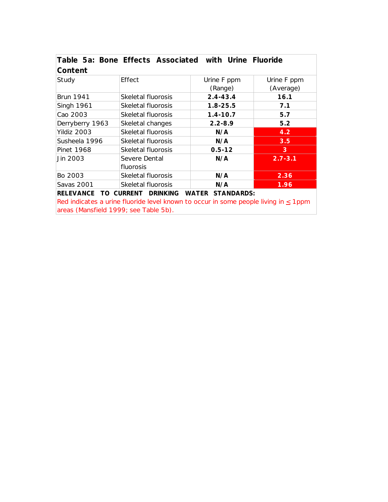| Table 5a: Bone Effects Associated with Urine Fluoride<br>Content |                    |              |             |  |  |
|------------------------------------------------------------------|--------------------|--------------|-------------|--|--|
| Study                                                            | Effect             | Urine F ppm  | Urine F ppm |  |  |
|                                                                  |                    | (Range)      | (Average)   |  |  |
| <b>Brun 1941</b>                                                 | Skeletal fluorosis | $2.4 - 43.4$ | 16.1        |  |  |
| <b>Singh 1961</b>                                                | Skeletal fluorosis | $1.8 - 25.5$ | 7.1         |  |  |
| Cao 2003                                                         | Skeletal fluorosis | $1.4 - 10.7$ | 5.7         |  |  |
| Derryberry 1963                                                  | Skeletal changes   | $2.2 - 8.9$  | 5.2         |  |  |
| Yildiz 2003                                                      | Skeletal fluorosis | N/A          | 4.2         |  |  |
| Susheela 1996                                                    | Skeletal fluorosis | N/A          | 3.5         |  |  |
| Pinet 1968                                                       | Skeletal fluorosis | $0.5 - 12$   | 3           |  |  |
| Jin 2003                                                         | Severe Dental      | N/A          | $2.7 - 3.1$ |  |  |
|                                                                  | fluorosis          |              |             |  |  |
| Bo 2003                                                          | Skeletal fluorosis | N/A          | 2.36        |  |  |
| Savas 2001                                                       | Skeletal fluorosis | N/A          | 1.96        |  |  |
| <b>WATER STANDARDS:</b><br>RELEVANCE TO CURRENT DRINKING         |                    |              |             |  |  |

Red indicates a urine fluoride level known to occur in some people living in  $\leq 1$ ppm areas (Mansfield 1999; see Table 5b).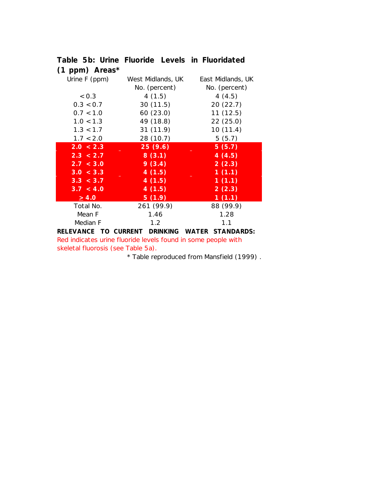| $(1$ ppm) Areas*     |                   |                            |
|----------------------|-------------------|----------------------------|
| Urine F (ppm)        | West Midlands, UK | East Midlands, UK          |
|                      | No. (percent)     | No. (percent)              |
| < 0.3                | 4(1.5)            | 4(4.5)                     |
| 0.3 < 0.7            | 30(11.5)          | 20(22.7)                   |
| 0.7 < 1.0            | 60 (23.0)         | 11(12.5)                   |
| 1.0 < 1.3            | 49 (18.8)         | 22(25.0)                   |
| 1.3 < 1.7            | 31(11.9)          | 10(11.4)                   |
| 1.7 < 2.0            | 28 (10.7)         | 5(5.7)                     |
| 2.0 < 2.3            | 25(9.6)           | 5(5.7)                     |
| 2.3 < 2.7            | 8(3.1)            | 4(4.5)                     |
| 2.7 < 3.0            | 9(3.4)            | 2(2.3)                     |
| 3.0 < 3.3            | 4(1.5)            | 1(1.1)                     |
| 3.3 < 3.7            | 4(1.5)            | 1(1.1)                     |
| 3.7 < 4.0            | 4(1.5)            | 2(2.3)                     |
| $\geq 4.0$           | 5(1.9)            | 1(1.1)                     |
| Total No.            | 261 (99.9)        | 88 (99.9)                  |
| Mean F               | 1.46              | 1.28                       |
| Median F             | $1.2^{\circ}$     | 1.1                        |
| DELEVANCE TO CUDDENT | <b>DDINIVINIC</b> | CTANDADDC.<br><b>WATED</b> |

**Table 5b: Urine Fluoride Levels in Fluoridated**

**RELEVANCE TO CURRENT DRINKING WATER STANDARDS:** Red indicates urine fluoride levels found in some people with skeletal fluorosis (see Table 5a).

\* Table reproduced from Mansfield (1999) .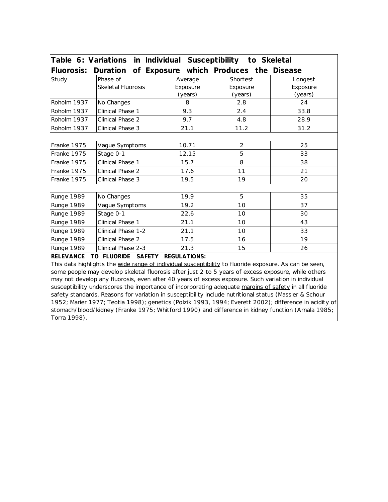| Table 6: Variations in Individual Susceptibility to Skeletal |                                                 |          |                |          |
|--------------------------------------------------------------|-------------------------------------------------|----------|----------------|----------|
| <b>Fluorosis:</b>                                            | Duration of Exposure which Produces the Disease |          |                |          |
| Study                                                        | Phase of                                        | Average  | Shortest       | Longest  |
|                                                              | <b>Skeletal Fluorosis</b>                       | Exposure | Exposure       | Exposure |
|                                                              |                                                 | (years)  | (years)        | (years)  |
| Roholm 1937                                                  | No Changes                                      | 8        | 2.8            | 24       |
| Roholm 1937                                                  | Clinical Phase 1                                | 9.3      | 2.4            | 33.8     |
| Roholm 1937                                                  | Clinical Phase 2                                | 9.7      | 4.8            | 28.9     |
| Roholm 1937                                                  | Clinical Phase 3                                | 21.1     | 11.2           | 31.2     |
|                                                              |                                                 |          |                |          |
| Franke 1975                                                  | Vague Symptoms                                  | 10.71    | $\overline{2}$ | 25       |
| Franke 1975                                                  | Stage 0-1                                       | 12.15    | 5              | 33       |
| Franke 1975                                                  | Clinical Phase 1                                | 15.7     | 8              | 38       |
| Franke 1975                                                  | Clinical Phase 2                                | 17.6     | 11             | 21       |
| Franke 1975                                                  | Clinical Phase 3                                | 19.5     | 19             | 20       |
|                                                              |                                                 |          |                |          |
| Runge 1989                                                   | No Changes                                      | 19.9     | 5              | 35       |
| <b>Runge 1989</b>                                            | Vague Symptoms                                  | 19.2     | 10             | 37       |
| <b>Runge 1989</b>                                            | Stage 0-1                                       | 22.6     | 10             | 30       |
| Runge 1989                                                   | Clinical Phase 1                                | 21.1     | 10             | 43       |
| <b>Runge 1989</b>                                            | Clinical Phase 1-2                              | 21.1     | 10             | 33       |
| Runge 1989                                                   | Clinical Phase 2                                | 17.5     | 16             | 19       |
| Runge 1989                                                   | Clinical Phase 2-3                              | 21.3     | 15             | 26       |

## **RELEVANCE TO FLUORIDE SAFETY REGULATIONS:**

This data highlights the wide range of individual susceptibility to fluoride exposure. As can be seen, some people may develop skeletal fluorosis after just 2 to 5 years of excess exposure, while others may not develop any fluorosis, even after 40 years of excess exposure. Such variation in individual susceptibility underscores the importance of incorporating adequate margins of safety in all fluoride safety standards. Reasons for variation in susceptibility include nutritional status (Massler & Schour 1952; Marier 1977; Teotia 1998); genetics (Polzik 1993, 1994; Everett 2002); difference in acidity of stomach/blood/kidney (Franke 1975; Whitford 1990) and difference in kidney function (Arnala 1985; Torra 1998).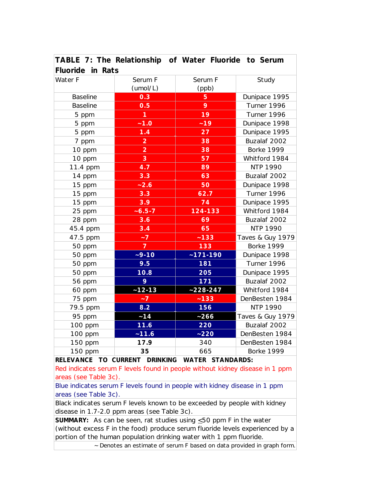| $\overline{a}$ and $\overline{b}$ are not interested by $\overline{a}$ and $\overline{a}$ are $\overline{a}$ and $\overline{a}$ are $\overline{a}$ and $\overline{a}$ are $\overline{a}$ and $\overline{a}$ are $\overline{a}$ and $\overline{a}$ are $\overline{a}$ and $\overline{a}$ are $\overline{a}$ and $\overline{a}$<br>Fluoride in Rats |                         |                |                   |
|---------------------------------------------------------------------------------------------------------------------------------------------------------------------------------------------------------------------------------------------------------------------------------------------------------------------------------------------------|-------------------------|----------------|-------------------|
| Water F                                                                                                                                                                                                                                                                                                                                           | Serum F                 | Serum F        | Study             |
|                                                                                                                                                                                                                                                                                                                                                   | (umol/L)                | (ppb)          |                   |
| <b>Baseline</b>                                                                                                                                                                                                                                                                                                                                   | 0.3                     | $\overline{5}$ | Dunipace 1995     |
| <b>Baseline</b>                                                                                                                                                                                                                                                                                                                                   | 0.5                     | 9              | Turner 1996       |
| 5 ppm                                                                                                                                                                                                                                                                                                                                             | 1                       | 19             | Turner 1996       |
| 5 ppm                                                                                                                                                                                                                                                                                                                                             | $-1.0$                  | $-19$          | Dunipace 1998     |
| 5 ppm                                                                                                                                                                                                                                                                                                                                             | 1.4                     | 27             | Dunipace 1995     |
| 7 ppm                                                                                                                                                                                                                                                                                                                                             | $\overline{\mathbf{c}}$ | 38             | Buzalaf 2002      |
| 10 ppm                                                                                                                                                                                                                                                                                                                                            | $\overline{2}$          | 38             | <b>Borke 1999</b> |
| 10 ppm                                                                                                                                                                                                                                                                                                                                            | 3                       | 57             | Whitford 1984     |
| 11.4 ppm                                                                                                                                                                                                                                                                                                                                          | 4.7                     | 89             | NTP 1990          |
| 14 ppm                                                                                                                                                                                                                                                                                                                                            | 3.3                     | 63             | Buzalaf 2002      |
| 15 ppm                                                                                                                                                                                                                                                                                                                                            | $-2.6$                  | 50             | Dunipace 1998     |
| 15 ppm                                                                                                                                                                                                                                                                                                                                            | 3.3                     | 62.7           | Turner 1996       |
| 15 ppm                                                                                                                                                                                                                                                                                                                                            | 3.9                     | 74             | Dunipace 1995     |
| 25 ppm                                                                                                                                                                                                                                                                                                                                            | $-6.5 - 7$              | 124-133        | Whitford 1984     |
| 28 ppm                                                                                                                                                                                                                                                                                                                                            | 3.6                     | 69             | Buzalaf 2002      |
| 45.4 ppm                                                                                                                                                                                                                                                                                                                                          | 3.4                     | 65             | <b>NTP 1990</b>   |
| 47.5 ppm                                                                                                                                                                                                                                                                                                                                          | $\overline{z}$          | $-133$         | Taves & Guy 1979  |
| 50 ppm                                                                                                                                                                                                                                                                                                                                            | $\overline{7}$          | 133            | <b>Borke 1999</b> |
| 50 ppm                                                                                                                                                                                                                                                                                                                                            | $-9-10$                 | $~171 - 190$   | Dunipace 1998     |
| 50 ppm                                                                                                                                                                                                                                                                                                                                            | 9.5                     | 181            | Turner 1996       |
| 50 ppm                                                                                                                                                                                                                                                                                                                                            | 10.8                    | 205            | Dunipace 1995     |
| 56 ppm                                                                                                                                                                                                                                                                                                                                            | 9                       | 171            | Buzalaf 2002      |
| 60 ppm                                                                                                                                                                                                                                                                                                                                            | $~12 - 13$              | $-228-247$     | Whitford 1984     |
| 75 ppm                                                                                                                                                                                                                                                                                                                                            | $-7$                    | $-133$         | DenBesten 1984    |
| 79.5 ppm                                                                                                                                                                                                                                                                                                                                          | 8.2                     | 156            | <b>NTP 1990</b>   |
| 95 ppm                                                                                                                                                                                                                                                                                                                                            | ~14                     | $-266$         | Taves & Guy 1979  |
| 100 ppm                                                                                                                                                                                                                                                                                                                                           | 11.6                    | 220            | Buzalaf 2002      |
| 100 ppm                                                                                                                                                                                                                                                                                                                                           | $-11.6$                 | ~220           | DenBesten 1984    |
| 150 ppm                                                                                                                                                                                                                                                                                                                                           | 17.9                    | 340            | DenBesten 1984    |
| 150 ppm                                                                                                                                                                                                                                                                                                                                           | 35                      | 665            | <b>Borke 1999</b> |
| RELEVANCE TO CURRENT DRINKING<br><b>WATER STANDARDS:</b>                                                                                                                                                                                                                                                                                          |                         |                |                   |

**TABLE 7: The Relationship of Water Fluoride to Serum**

Red indicates serum F levels found in people without kidney disease in 1 ppm areas (see Table 3c).

Blue indicates serum F levels found in people with kidney disease in 1 ppm areas (see Table 3c).

Black indicates serum F levels known to be exceeded by people with kidney disease in 1.7-2.0 ppm areas (see Table 3c).

**SUMMARY:** As can be seen, rat studies using  $\leq$  50 ppm F in the water (without excess F in the food) produce serum fluoride levels experienced by a portion of the human population drinking water with 1 ppm fluoride.

~ Denotes an estimate of serum F based on data provided in graph form.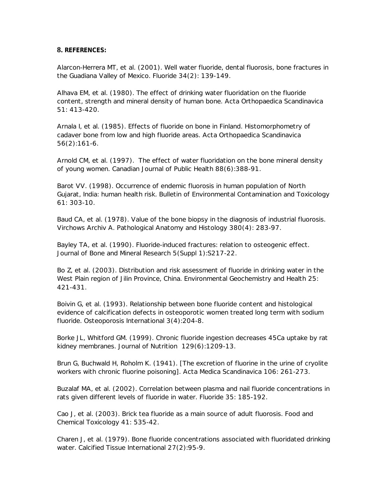# **8. REFERENCES:**

Alarcon-Herrera MT, et al. (2001). Well water fluoride, dental fluorosis, bone fractures in the Guadiana Valley of Mexico. *Fluoride* 34(2): 139-149.

Alhava EM, et al. (1980). The effect of drinking water fluoridation on the fluoride content, strength and mineral density of human bone. *Acta Orthopaedica Scandinavica* 51: 413-420.

Arnala I, et al. (1985). Effects of fluoride on bone in Finland. Histomorphometry of cadaver bone from low and high fluoride areas. *Acta Orthopaedica Scandinavica* 56(2):161-6.

Arnold CM, et al. (1997). The effect of water fluoridation on the bone mineral density of young women. *Canadian Journal of Public Health* 88(6):388-91.

Barot VV. (1998). Occurrence of endemic fluorosis in human population of North Gujarat, India: human health risk*. Bulletin of Environmental Contamination and Toxicology* 61: 303-10.

Baud CA, et al. (1978). Value of the bone biopsy in the diagnosis of industrial fluorosis. *Virchows Archiv A. Pathological Anatomy and Histology* 380(4): 283-97.

Bayley TA, et al. (1990). Fluoride-induced fractures: relation to osteogenic effect. *Journal of Bone and Mineral Research* 5(Suppl 1):S217-22.

Bo Z, et al. (2003). Distribution and risk assessment of fluoride in drinking water in the West Plain region of Jilin Province, China. *Environmental Geochemistry and Health* 25: 421-431.

Boivin G, et al. (1993). Relationship between bone fluoride content and histological evidence of calcification defects in osteoporotic women treated long term with sodium fluoride. *Osteoporosis International* 3(4):204-8.

Borke JL, Whitford GM. (1999). Chronic fluoride ingestion decreases 45Ca uptake by rat kidney membranes. *Journal of Nutrition* 129(6):1209-13.

Brun G, Buchwald H, Roholm K. (1941). [The excretion of fluorine in the urine of cryolite workers with chronic fluorine poisoning]. *Acta Medica Scandinavica* 106: 261-273.

Buzalaf MA, et al. (2002). Correlation between plasma and nail fluoride concentrations in rats given different levels of fluoride in water. *Fluoride* 35: 185-192.

Cao J, et al. (2003). Brick tea fluoride as a main source of adult fluorosis*. Food and Chemical Toxicology* 41: 535-42.

Charen J, et al. (1979). Bone fluoride concentrations associated with fluoridated drinking water. *Calcified Tissue International* 27(2):95-9.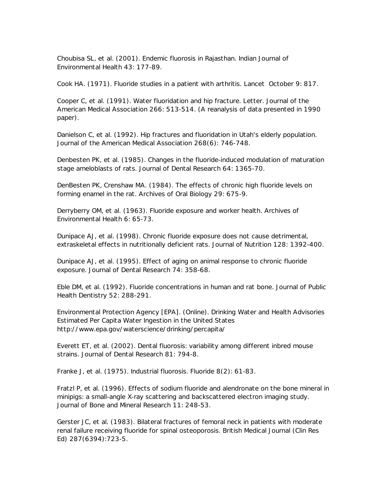Choubisa SL, et al. (2001). Endemic fluorosis in Rajasthan. *Indian Journal of Environmental Health* 43: 177-89.

Cook HA. (1971). Fluoride studies in a patient with arthritis. *Lancet* October 9: 817.

Cooper C, et al. (1991). Water fluoridation and hip fracture. Letter. *Journal of the American Medical Association* 266: 513-514. (A reanalysis of data presented in 1990 paper).

Danielson C, et al. (1992). Hip fractures and fluoridation in Utah's elderly population. *Journal of the American Medical Association* 268(6): 746-748.

Denbesten PK, et al. (1985). Changes in the fluoride-induced modulation of maturation stage ameloblasts of rats. *Journal of Dental Research* 64: 1365-70.

DenBesten PK, Crenshaw MA. (1984). The effects of chronic high fluoride levels on forming enamel in the rat. *Archives of Oral Biology* 29: 675-9.

Derryberry OM, et al. (1963). Fluoride exposure and worker health*. Archives of Environmental Health* 6: 65-73.

Dunipace AJ, et al. (1998). Chronic fluoride exposure does not cause detrimental, extraskeletal effects in nutritionally deficient rats. *Journal of Nutrition* 128: 1392-400.

Dunipace AJ, et al. (1995). Effect of aging on animal response to chronic fluoride exposure. *Journal of Dental Research* 74: 358-68.

Eble DM, et al. (1992). Fluoride concentrations in human and rat bone*. Journal of Public Health Dentistry* 52: 288-291.

Environmental Protection Agency [EPA]. (Online). Drinking Water and Health Advisories Estimated Per Capita Water Ingestion in the United States http://www.epa.gov/waterscience/drinking/percapita/

Everett ET, et al. (2002). Dental fluorosis: variability among different inbred mouse strains. *Journal of Dental Research* 81: 794-8.

Franke J, et al. (1975). Industrial fluorosis. *Fluoride* 8(2): 61-83.

Fratzl P, et al. (1996). Effects of sodium fluoride and alendronate on the bone mineral in minipigs: a small-angle X-ray scattering and backscattered electron imaging study. *Journal of Bone and Mineral Research* 11: 248-53.

Gerster JC, et al. (1983). Bilateral fractures of femoral neck in patients with moderate renal failure receiving fluoride for spinal osteoporosis*. British Medical Journal (Clin Res Ed)* 287(6394):723-5.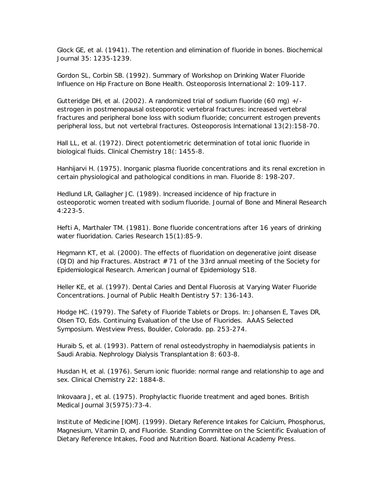Glock GE, et al. (1941). The retention and elimination of fluoride in bones. *Biochemical Journal* 35: 1235-1239.

Gordon SL, Corbin SB. (1992). Summary of Workshop on Drinking Water Fluoride Influence on Hip Fracture on Bone Health. *Osteoporosis International* 2: 109-117.

Gutteridge DH, et al. (2002). A randomized trial of sodium fluoride (60 mg) +/ estrogen in postmenopausal osteoporotic vertebral fractures: increased vertebral fractures and peripheral bone loss with sodium fluoride; concurrent estrogen prevents peripheral loss, but not vertebral fractures. *Osteoporosis International* 13(2):158-70.

Hall LL, et al. (1972). Direct potentiometric determination of total ionic fluoride in biological fluids. *Clinical Chemistry* 18(: 1455-8.

Hanhijarvi H. (1975). Inorganic plasma fluoride concentrations and its renal excretion in certain physiological and pathological conditions in man. *Fluoride* 8: 198-207.

Hedlund LR, Gallagher JC. (1989). Increased incidence of hip fracture in osteoporotic women treated with sodium fluoride. *Journal of Bone and Mineral Research* 4:223-5.

Hefti A, Marthaler TM. (1981). Bone fluoride concentrations after 16 years of drinking water fluoridation. *Caries Research* 15(1):85-9.

Hegmann KT, et al. (2000). The effects of fluoridation on degenerative joint disease (DJD) and hip Fractures. Abstract # 71 of the 33rd annual meeting of the Society for Epidemiological Research. *American Journal of Epidemiology* S18.

Heller KE, et al. (1997). Dental Caries and Dental Fluorosis at Varying Water Fluoride Concentrations. *Journal of Public Health Dentistry* 57: 136-143.

Hodge HC. (1979). The Safety of Fluoride Tablets or Drops. In: Johansen E, Taves DR, Olsen TO, Eds. Continuing Evaluation of the Use of Fluorides. AAAS Selected Symposium. Westview Press, Boulder, Colorado. pp. 253-274.

Huraib S, et al. (1993). Pattern of renal osteodystrophy in haemodialysis patients in Saudi Arabia. *Nephrology Dialysis Transplantation* 8: 603-8.

Husdan H, et al. (1976). Serum ionic fluoride: normal range and relationship to age and sex. *Clinical Chemistry* 22: 1884-8.

Inkovaara J, et al. (1975). Prophylactic fluoride treatment and aged bones. *British Medical Journal* 3(5975):73-4.

Institute of Medicine [IOM]. (1999). Dietary Reference Intakes for Calcium, Phosphorus, Magnesium, Vitamin D, and Fluoride. Standing Committee on the Scientific Evaluation of Dietary Reference Intakes, Food and Nutrition Board. National Academy Press.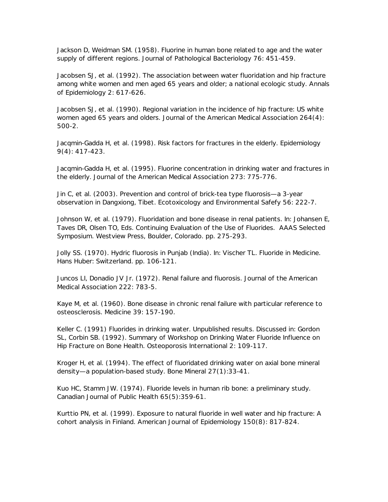Jackson D, Weidman SM. (1958). Fluorine in human bone related to age and the water supply of different regions. *Journal of Pathological Bacteriology* 76: 451-459.

Jacobsen SJ, et al. (1992). The association between water fluoridation and hip fracture among white women and men aged 65 years and older; a national ecologic study. *Annals of Epidemiology* 2: 617-626.

Jacobsen SJ, et al. (1990). Regional variation in the incidence of hip fracture: US white women aged 65 years and olders. *Journal of the American Medical Association* 264(4): 500-2.

Jacqmin-Gadda H, et al. (1998). Risk factors for fractures in the elderly. *Epidemiology* 9(4): 417-423.

Jacqmin-Gadda H, et al. (1995). Fluorine concentration in drinking water and fractures in the elderly. *Journal of the American Medical Association* 273: 775-776.

Jin C, et al. (2003). Prevention and control of brick-tea type fluorosis—a 3-year observation in Dangxiong, Tibet. *Ecotoxicology and Environmental Safefy* 56: 222-7.

Johnson W, et al. (1979). Fluoridation and bone disease in renal patients. In: Johansen E, Taves DR, Olsen TO, Eds. Continuing Evaluation of the Use of Fluorides. AAAS Selected Symposium. Westview Press, Boulder, Colorado. pp. 275-293.

Jolly SS. (1970). Hydric fluorosis in Punjab (India). In: Vischer TL. Fluoride in Medicine. Hans Huber: Switzerland. pp. 106-121.

Juncos LI, Donadio JV Jr. (1972). Renal failure and fluorosis. *Journal of the American Medical Association* 222: 783-5.

Kaye M, et al. (1960). Bone disease in chronic renal failure with particular reference to osteosclerosis. *Medicine* 39: 157-190.

Keller C. (1991) Fluorides in drinking water. Unpublished results. Discussed in: Gordon SL, Corbin SB. (1992). Summary of Workshop on Drinking Water Fluoride Influence on Hip Fracture on Bone Health. *Osteoporosis International* 2: 109-117.

Kroger H, et al. (1994). The effect of fluoridated drinking water on axial bone mineral density—a population-based study. *Bone Mineral* 27(1):33-41.

Kuo HC, Stamm JW. (1974). Fluoride levels in human rib bone: a preliminary study. *Canadian Journal of Public Health* 65(5):359-61.

Kurttio PN, et al. (1999). Exposure to natural fluoride in well water and hip fracture: A cohort analysis in Finland. *American Journal of Epidemiology* 150(8): 817-824.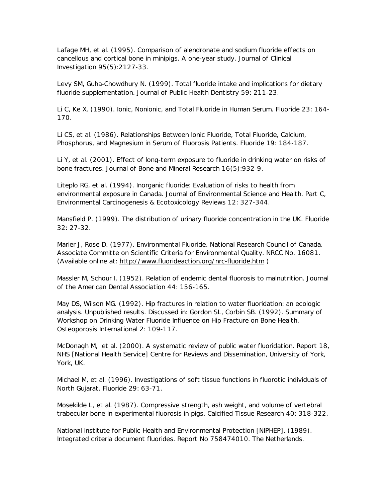Lafage MH, et al. (1995). Comparison of alendronate and sodium fluoride effects on cancellous and cortical bone in minipigs. A one-year study*. Journal of Clinical Investigation* 95(5):2127-33.

Levy SM, Guha-Chowdhury N. (1999). Total fluoride intake and implications for dietary fluoride supplementation. *Journal of Public Health Dentistry* 59: 211-23.

Li C, Ke X. (1990). Ionic, Nonionic, and Total Fluoride in Human Serum. *Fluoride* 23: 164- 170.

Li CS, et al. (1986). Relationships Between lonic Fluoride, Total Fluoride, Calcium, Phosphorus, and Magnesium in Serum of Fluorosis Patients. *Fluoride* 19: 184-187.

Li Y, et al. (2001). Effect of long-term exposure to fluoride in drinking water on risks of bone fractures. *Journal of Bone and Mineral Research* 16(5):932-9.

Liteplo RG, et al. (1994). Inorganic fluoride: Evaluation of risks to health from environmental exposure in Canada. *Journal of Environmental Science and Health. Part C, Environmental Carcinogenesis & Ecotoxicology Reviews* 12: 327-344.

Mansfield P. (1999). The distribution of urinary fluoride concentration in the UK. *Fluoride* 32: 27-32.

Marier J, Rose D. (1977). Environmental Fluoride. National Research Council of Canada. Associate Committe on Scientific Criteria for Environmental Quality. NRCC No. 16081. (Available online at: http://www.fluorideaction.org/nrc-fluoride.htm )

Massler M, Schour I. (1952). Relation of endemic dental fluorosis to malnutrition. *Journal of the American Dental Association* 44: 156-165.

May DS, Wilson MG. (1992). Hip fractures in relation to water fluoridation: an ecologic analysis. Unpublished results. Discussed in: Gordon SL, Corbin SB. (1992). Summary of Workshop on Drinking Water Fluoride Influence on Hip Fracture on Bone Health. *Osteoporosis International* 2: 109-117.

McDonagh M, et al. (2000). A systematic review of public water fluoridation. Report 18, NHS [National Health Service] Centre for Reviews and Dissemination, University of York, York, UK.

Michael M, et al. (1996). Investigations of soft tissue functions in fluorotic individuals of North Gujarat. *Fluoride* 29: 63-71.

Mosekilde L, et al. (1987). Compressive strength, ash weight, and volume of vertebral trabecular bone in experimental fluorosis in pigs. *Calcified Tissue Research* 40: 318-322.

National Institute for Public Health and Environmental Protection [NIPHEP]. (1989). Integrated criteria document fluorides. Report No 758474010. The Netherlands.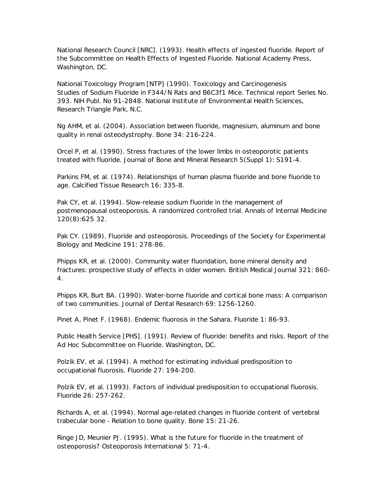National Research Council [NRC]. (1993). Health effects of ingested fluoride. Report of the Subcommittee on Health Effects of Ingested Fluoride. National Academy Press, Washington, DC.

National Toxicology Program [NTP] (1990). Toxicology and Carcinogenesis Studies of Sodium Fluoride in F344/N Rats and B6C3f1 Mice. Technical report Series No. 393. NIH Publ. No 91-2848. National Institute of Environmental Health Sciences, Research Triangle Park, N.C.

Ng AHM, et al. (2004). Association between fluoride, magnesium, aluminum and bone quality in renal osteodystrophy. *Bone* 34: 216-224.

Orcel P, et al. (1990). Stress fractures of the lower limbs in osteoporotic patients treated with fluoride. *Journal of Bone and Mineral Research* 5(Suppl 1): S191-4.

Parkins FM, et al. (1974). Relationships of human plasma fluoride and bone fluoride to age. *Calcified Tissue Research* 16: 335-8.

Pak CY, et al. (1994). Slow-release sodium fluoride in the management of postmenopausal osteoporosis. A randomized controlled trial. *Annals of Internal Medicine* 120(8):625 32.

Pak CY. (1989). Fluoride and osteoporosis*. Proceedings of the Society for Experimental Biology and Medicine* 191: 278-86.

Phipps KR, et al. (2000). Community water fluoridation, bone mineral density and fractures: prospective study of effects in older women. *British Medical Journal* 321: 860- 4.

Phipps KR, Burt BA. (1990). Water-borne fluoride and cortical bone mass: A comparison of two communities. *Journal of Dental Research* 69: 1256-1260.

Pinet A, Pinet F. (1968). Endemic fluorosis in the Sahara. *Fluoride* 1: 86-93.

Public Health Service [PHS]. (1991). Review of fluoride: benefits and risks. Report of the Ad Hoc Subcommittee on Fluoride. Washington, DC.

Polzik EV, et al. (1994). A method for estimating individual predisposition to occupational fluorosis. *Fluoride* 27: 194-200.

Polzik EV, et al. (1993). Factors of individual predisposition to occupational fluorosis. *Fluoride* 26: 257-262.

Richards A, et al. (1994). Normal age-related changes in fluoride content of vertebral trabecular bone - Relation to bone quality. Bone 15: 21-26.

Ringe JD, Meunier PJ. (1995). What is the future for fluoride in the treatment of osteoporosis? *Osteoporosis International* 5: 71-4.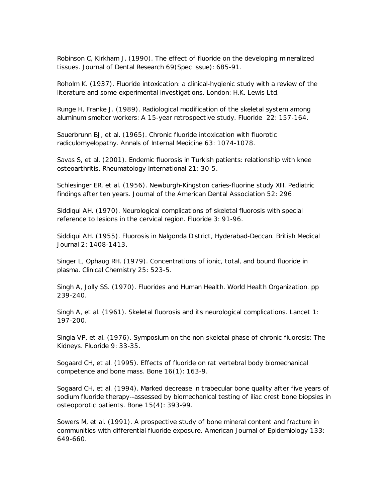Robinson C, Kirkham J. (1990). The effect of fluoride on the developing mineralized tissues. *Journal of Dental Research* 69(Spec Issue): 685-91.

Roholm K. (1937). Fluoride intoxication: a clinical-hygienic study with a review of the literature and some experimental investigations. London: H.K. Lewis Ltd.

Runge H, Franke J. (1989). Radiological modification of the skeletal system among aluminum smelter workers: A 15-year retrospective study. *Fluoride* 22: 157-164.

Sauerbrunn BJ, et al. (1965). Chronic fluoride intoxication with fluorotic radiculomyelopathy. *Annals of Internal Medicine* 63: 1074-1078.

Savas S, et al. (2001). Endemic fluorosis in Turkish patients: relationship with knee osteoarthritis. *Rheumatology International* 21: 30-5.

Schlesinger ER, et al. (1956). Newburgh-Kingston caries-fluorine study XIII. Pediatric findings after ten years. *Journal of the American Dental Association* 52: 296.

Siddiqui AH. (1970). Neurological complications of skeletal fluorosis with special reference to lesions in the cervical region. *Fluoride* 3: 91-96.

Siddiqui AH. (1955). Fluorosis in Nalgonda District, Hyderabad-Deccan*. British Medical Journal* 2: 1408-1413.

Singer L, Ophaug RH. (1979). Concentrations of ionic, total, and bound fluoride in plasma. *Clinical Chemistry* 25: 523-5.

Singh A, Jolly SS. (1970). Fluorides and Human Health. World Health Organization. pp 239-240.

Singh A, et al. (1961). Skeletal fluorosis and its neurological complications. *Lancet* 1: 197-200.

Singla VP, et al. (1976). Symposium on the non-skeletal phase of chronic fluorosis: The Kidneys. *Fluoride* 9: 33-35.

Sogaard CH, et al. (1995). Effects of fluoride on rat vertebral body biomechanical competence and bone mass. *Bone* 16(1): 163-9.

Sogaard CH, et al. (1994). Marked decrease in trabecular bone quality after five years of sodium fluoride therapy--assessed by biomechanical testing of iliac crest bone biopsies in osteoporotic patients*. Bone* 15(4): 393-99.

Sowers M, et al. (1991). A prospective study of bone mineral content and fracture in communities with differential fluoride exposure. *American Journal of Epidemiology* 133: 649-660.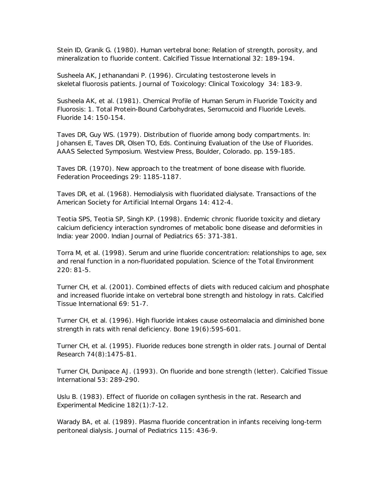Stein ID, Granik G. (1980). Human vertebral bone: Relation of strength, porosity, and mineralization to fluoride content. *Calcified Tissue International* 32: 189-194.

Susheela AK, Jethanandani P. (1996). Circulating testosterone levels in skeletal fluorosis patients. *Journal of Toxicology: Clinical Toxicology* 34: 183-9.

Susheela AK, et al. (1981). Chemical Profile of Human Serum in Fluoride Toxicity and Fluorosis: 1. Total Protein-Bound Carbohydrates, Seromucoid and Fluoride Levels. *Fluoride* 14: 150-154.

Taves DR, Guy WS. (1979). Distribution of fluoride among body compartments. In: Johansen E, Taves DR, Olsen TO, Eds. Continuing Evaluation of the Use of Fluorides. AAAS Selected Symposium. Westview Press, Boulder, Colorado. pp. 159-185.

Taves DR. (1970). New approach to the treatment of bone disease with fluoride. *Federation Proceedings* 29: 1185-1187.

Taves DR, et al. (1968). Hemodialysis with fluoridated dialysate. *Transactions of the American Society for Artificial Internal Organs* 14: 412-4.

Teotia SPS, Teotia SP, Singh KP. (1998). Endemic chronic fluoride toxicity and dietary calcium deficiency interaction syndromes of metabolic bone disease and deformities in India: year 2000. *Indian Journal of Pediatrics* 65: 371-381.

Torra M, et al. (1998). Serum and urine fluoride concentration: relationships to age, sex and renal function in a non-fluoridated population. *Science of the Total Environment* 220: 81-5.

Turner CH, et al. (2001). Combined effects of diets with reduced calcium and phosphate and increased fluoride intake on vertebral bone strength and histology in rats. *Calcified Tissue International* 69: 51-7.

Turner CH, et al. (1996). High fluoride intakes cause osteomalacia and diminished bone strength in rats with renal deficiency*. Bone* 19(6):595-601.

Turner CH, et al. (1995). Fluoride reduces bone strength in older rats. *Journal of Dental Research* 74(8):1475-81.

Turner CH, Dunipace AJ. (1993). On fluoride and bone strength (letter). *Calcified Tissue International* 53: 289-290.

Uslu B. (1983). Effect of fluoride on collagen synthesis in the rat*. Research and Experimental Medicine* 182(1):7-12.

Warady BA, et al. (1989). Plasma fluoride concentration in infants receiving long-term peritoneal dialysis. *Journal of Pediatrics* 115: 436-9.